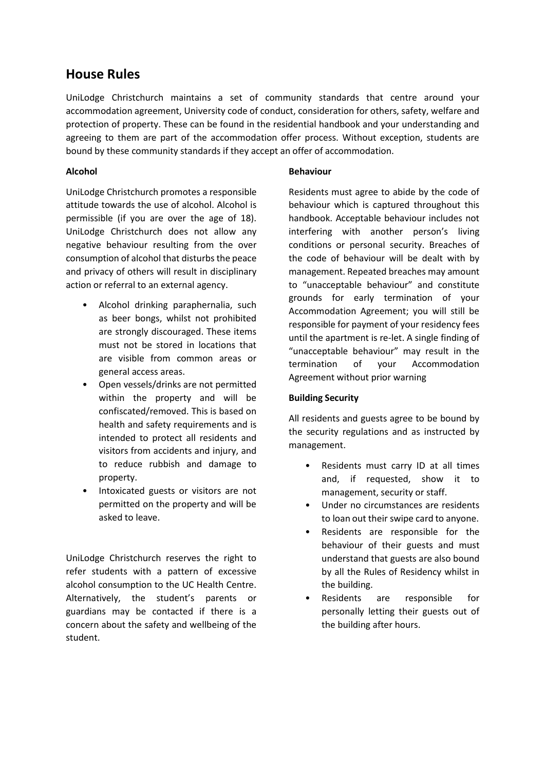# **House Rules**

UniLodge Christchurch maintains a set of community standards that centre around your accommodation agreement, University code of conduct, consideration for others, safety, welfare and protection of property. These can be found in the residential handbook and your understanding and agreeing to them are part of the accommodation offer process. Without exception, students are bound by these community standards if they accept an offer of accommodation.

# **Alcohol**

UniLodge Christchurch promotes a responsible attitude towards the use of alcohol. Alcohol is permissible (if you are over the age of 18). UniLodge Christchurch does not allow any negative behaviour resulting from the over consumption of alcohol that disturbs the peace and privacy of others will result in disciplinary action or referral to an external agency.

- Alcohol drinking paraphernalia, such as beer bongs, whilst not prohibited are strongly discouraged. These items must not be stored in locations that are visible from common areas or general access areas.
- Open vessels/drinks are not permitted within the property and will be confiscated/removed. This is based on health and safety requirements and is intended to protect all residents and visitors from accidents and injury, and to reduce rubbish and damage to property.
- Intoxicated guests or visitors are not permitted on the property and will be asked to leave.

UniLodge Christchurch reserves the right to refer students with a pattern of excessive alcohol consumption to the UC Health Centre. Alternatively, the student's parents or guardians may be contacted if there is a concern about the safety and wellbeing of the student.

## **Behaviour**

Residents must agree to abide by the code of behaviour which is captured throughout this handbook. Acceptable behaviour includes not interfering with another person's living conditions or personal security. Breaches of the code of behaviour will be dealt with by management. Repeated breaches may amount to "unacceptable behaviour" and constitute grounds for early termination of your Accommodation Agreement; you will still be responsible for payment of your residency fees until the apartment is re-let. A single finding of "unacceptable behaviour" may result in the termination of your Accommodation Agreement without prior warning

# **Building Security**

All residents and guests agree to be bound by the security regulations and as instructed by management.

- Residents must carry ID at all times and, if requested, show it to management, security or staff.
- Under no circumstances are residents to loan out their swipe card to anyone.
- Residents are responsible for the behaviour of their guests and must understand that guests are also bound by all the Rules of Residency whilst in the building.
- Residents are responsible for personally letting their guests out of the building after hours.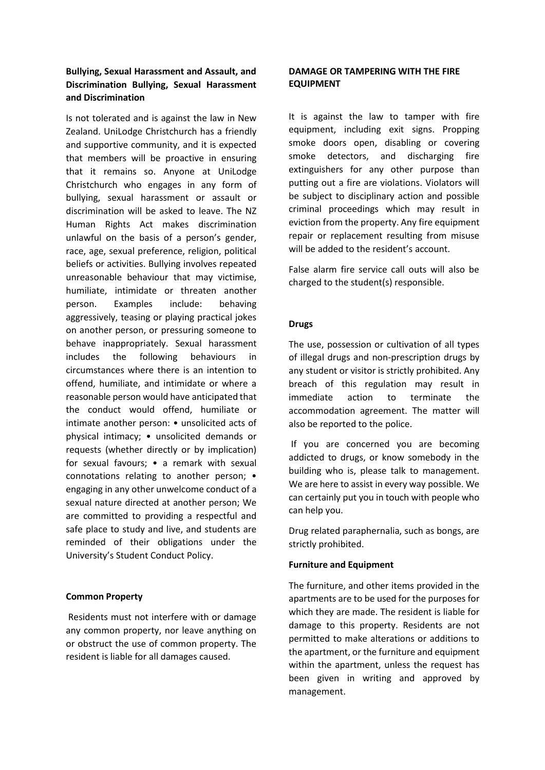# **Bullying, Sexual Harassment and Assault, and Discrimination Bullying, Sexual Harassment and Discrimination**

Is not tolerated and is against the law in New Zealand. UniLodge Christchurch has a friendly and supportive community, and it is expected that members will be proactive in ensuring that it remains so. Anyone at UniLodge Christchurch who engages in any form of bullying, sexual harassment or assault or discrimination will be asked to leave. The NZ Human Rights Act makes discrimination unlawful on the basis of a person's gender, race, age, sexual preference, religion, political beliefs or activities. Bullying involves repeated unreasonable behaviour that may victimise, humiliate, intimidate or threaten another person. Examples include: behaving aggressively, teasing or playing practical jokes on another person, or pressuring someone to behave inappropriately. Sexual harassment includes the following behaviours in circumstances where there is an intention to offend, humiliate, and intimidate or where a reasonable person would have anticipated that the conduct would offend, humiliate or intimate another person: • unsolicited acts of physical intimacy; • unsolicited demands or requests (whether directly or by implication) for sexual favours; • a remark with sexual connotations relating to another person; • engaging in any other unwelcome conduct of a sexual nature directed at another person; We are committed to providing a respectful and safe place to study and live, and students are reminded of their obligations under the University's Student Conduct Policy.

#### **Common Property**

Residents must not interfere with or damage any common property, nor leave anything on or obstruct the use of common property. The resident is liable for all damages caused.

## **DAMAGE OR TAMPERING WITH THE FIRE EQUIPMENT**

It is against the law to tamper with fire equipment, including exit signs. Propping smoke doors open, disabling or covering smoke detectors, and discharging fire extinguishers for any other purpose than putting out a fire are violations. Violators will be subject to disciplinary action and possible criminal proceedings which may result in eviction from the property. Any fire equipment repair or replacement resulting from misuse will be added to the resident's account.

False alarm fire service call outs will also be charged to the student(s) responsible.

## **Drugs**

The use, possession or cultivation of all types of illegal drugs and non-prescription drugs by any student or visitor is strictly prohibited. Any breach of this regulation may result in immediate action to terminate the accommodation agreement. The matter will also be reported to the police.

If you are concerned you are becoming addicted to drugs, or know somebody in the building who is, please talk to management. We are here to assist in every way possible. We can certainly put you in touch with people who can help you.

Drug related paraphernalia, such as bongs, are strictly prohibited.

#### **Furniture and Equipment**

The furniture, and other items provided in the apartments are to be used for the purposes for which they are made. The resident is liable for damage to this property. Residents are not permitted to make alterations or additions to the apartment, or the furniture and equipment within the apartment, unless the request has been given in writing and approved by management.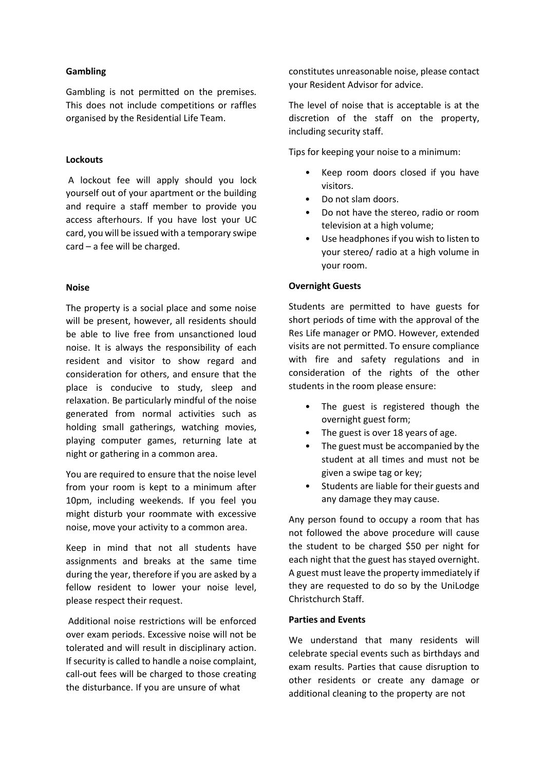#### **Gambling**

Gambling is not permitted on the premises. This does not include competitions or raffles organised by the Residential Life Team.

#### **Lockouts**

A lockout fee will apply should you lock yourself out of your apartment or the building and require a staff member to provide you access afterhours. If you have lost your UC card, you will be issued with a temporary swipe card – a fee will be charged.

#### **Noise**

The property is a social place and some noise will be present, however, all residents should be able to live free from unsanctioned loud noise. It is always the responsibility of each resident and visitor to show regard and consideration for others, and ensure that the place is conducive to study, sleep and relaxation. Be particularly mindful of the noise generated from normal activities such as holding small gatherings, watching movies, playing computer games, returning late at night or gathering in a common area.

You are required to ensure that the noise level from your room is kept to a minimum after 10pm, including weekends. If you feel you might disturb your roommate with excessive noise, move your activity to a common area.

Keep in mind that not all students have assignments and breaks at the same time during the year, therefore if you are asked by a fellow resident to lower your noise level, please respect their request.

Additional noise restrictions will be enforced over exam periods. Excessive noise will not be tolerated and will result in disciplinary action. If security is called to handle a noise complaint, call-out fees will be charged to those creating the disturbance. If you are unsure of what

constitutes unreasonable noise, please contact your Resident Advisor for advice.

The level of noise that is acceptable is at the discretion of the staff on the property, including security staff.

Tips for keeping your noise to a minimum:

- Keep room doors closed if you have visitors.
- Do not slam doors.
- Do not have the stereo, radio or room television at a high volume;
- Use headphones if you wish to listen to your stereo/ radio at a high volume in your room.

## **Overnight Guests**

Students are permitted to have guests for short periods of time with the approval of the Res Life manager or PMO. However, extended visits are not permitted. To ensure compliance with fire and safety regulations and in consideration of the rights of the other students in the room please ensure:

- The guest is registered though the overnight guest form;
- The guest is over 18 years of age.
- The guest must be accompanied by the student at all times and must not be given a swipe tag or key;
- Students are liable for their guests and any damage they may cause.

Any person found to occupy a room that has not followed the above procedure will cause the student to be charged \$50 per night for each night that the guest has stayed overnight. A guest must leave the property immediately if they are requested to do so by the UniLodge Christchurch Staff.

#### **Parties and Events**

We understand that many residents will celebrate special events such as birthdays and exam results. Parties that cause disruption to other residents or create any damage or additional cleaning to the property are not